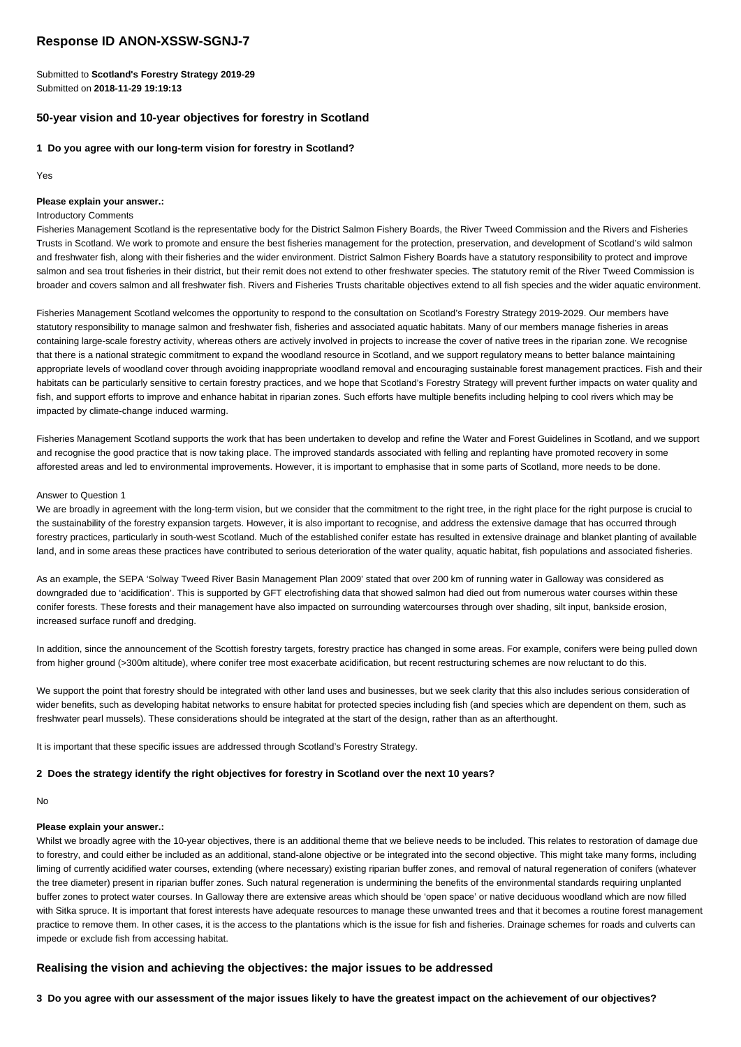# **Response ID ANON-XSSW-SGNJ-7**

Submitted to **Scotland's Forestry Strategy 2019-29** Submitted on **2018-11-29 19:19:13**

# **50-year vision and 10-year objectives for forestry in Scotland**

#### **1 Do you agree with our long-term vision for forestry in Scotland?**

Yes

#### **Please explain your answer.:**

#### Introductory Comments

Fisheries Management Scotland is the representative body for the District Salmon Fishery Boards, the River Tweed Commission and the Rivers and Fisheries Trusts in Scotland. We work to promote and ensure the best fisheries management for the protection, preservation, and development of Scotland's wild salmon and freshwater fish, along with their fisheries and the wider environment. District Salmon Fishery Boards have a statutory responsibility to protect and improve salmon and sea trout fisheries in their district, but their remit does not extend to other freshwater species. The statutory remit of the River Tweed Commission is broader and covers salmon and all freshwater fish. Rivers and Fisheries Trusts charitable objectives extend to all fish species and the wider aquatic environment.

Fisheries Management Scotland welcomes the opportunity to respond to the consultation on Scotland's Forestry Strategy 2019-2029. Our members have statutory responsibility to manage salmon and freshwater fish, fisheries and associated aquatic habitats. Many of our members manage fisheries in areas containing large-scale forestry activity, whereas others are actively involved in projects to increase the cover of native trees in the riparian zone. We recognise that there is a national strategic commitment to expand the woodland resource in Scotland, and we support regulatory means to better balance maintaining appropriate levels of woodland cover through avoiding inappropriate woodland removal and encouraging sustainable forest management practices. Fish and their habitats can be particularly sensitive to certain forestry practices, and we hope that Scotland's Forestry Strategy will prevent further impacts on water quality and fish, and support efforts to improve and enhance habitat in riparian zones. Such efforts have multiple benefits including helping to cool rivers which may be impacted by climate-change induced warming.

Fisheries Management Scotland supports the work that has been undertaken to develop and refine the Water and Forest Guidelines in Scotland, and we support and recognise the good practice that is now taking place. The improved standards associated with felling and replanting have promoted recovery in some afforested areas and led to environmental improvements. However, it is important to emphasise that in some parts of Scotland, more needs to be done.

#### Answer to Question 1

We are broadly in agreement with the long-term vision, but we consider that the commitment to the right tree, in the right place for the right purpose is crucial to the sustainability of the forestry expansion targets. However, it is also important to recognise, and address the extensive damage that has occurred through forestry practices, particularly in south-west Scotland. Much of the established conifer estate has resulted in extensive drainage and blanket planting of available land, and in some areas these practices have contributed to serious deterioration of the water quality, aquatic habitat, fish populations and associated fisheries.

As an example, the SEPA 'Solway Tweed River Basin Management Plan 2009' stated that over 200 km of running water in Galloway was considered as downgraded due to 'acidification'. This is supported by GFT electrofishing data that showed salmon had died out from numerous water courses within these conifer forests. These forests and their management have also impacted on surrounding watercourses through over shading, silt input, bankside erosion, increased surface runoff and dredging.

In addition, since the announcement of the Scottish forestry targets, forestry practice has changed in some areas. For example, conifers were being pulled down from higher ground (>300m altitude), where conifer tree most exacerbate acidification, but recent restructuring schemes are now reluctant to do this.

We support the point that forestry should be integrated with other land uses and businesses, but we seek clarity that this also includes serious consideration of wider benefits, such as developing habitat networks to ensure habitat for protected species including fish (and species which are dependent on them, such as freshwater pearl mussels). These considerations should be integrated at the start of the design, rather than as an afterthought.

It is important that these specific issues are addressed through Scotland's Forestry Strategy.

#### **2 Does the strategy identify the right objectives for forestry in Scotland over the next 10 years?**

No

# **Please explain your answer.:**

Whilst we broadly agree with the 10-year objectives, there is an additional theme that we believe needs to be included. This relates to restoration of damage due to forestry, and could either be included as an additional, stand-alone objective or be integrated into the second objective. This might take many forms, including liming of currently acidified water courses, extending (where necessary) existing riparian buffer zones, and removal of natural regeneration of conifers (whatever the tree diameter) present in riparian buffer zones. Such natural regeneration is undermining the benefits of the environmental standards requiring unplanted buffer zones to protect water courses. In Galloway there are extensive areas which should be 'open space' or native deciduous woodland which are now filled with Sitka spruce. It is important that forest interests have adequate resources to manage these unwanted trees and that it becomes a routine forest management practice to remove them. In other cases, it is the access to the plantations which is the issue for fish and fisheries. Drainage schemes for roads and culverts can impede or exclude fish from accessing habitat.

# **Realising the vision and achieving the objectives: the major issues to be addressed**

**3 Do you agree with our assessment of the major issues likely to have the greatest impact on the achievement of our objectives?**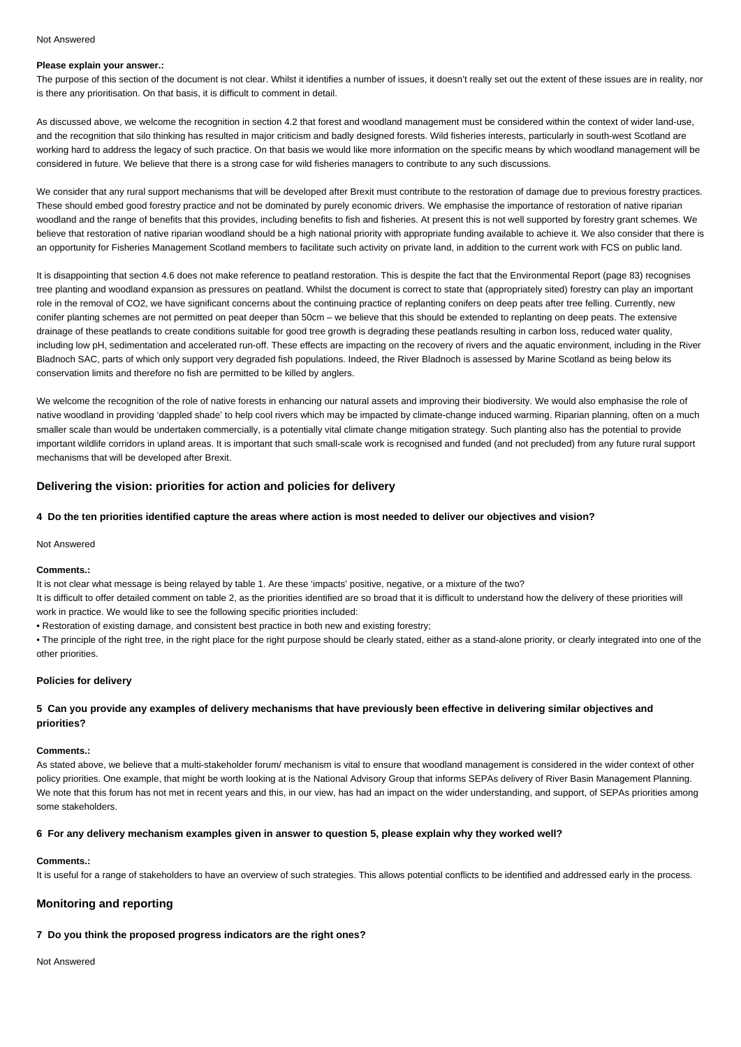#### Not Answered

## **Please explain your answer.:**

The purpose of this section of the document is not clear. Whilst it identifies a number of issues, it doesn't really set out the extent of these issues are in reality, nor is there any prioritisation. On that basis, it is difficult to comment in detail.

As discussed above, we welcome the recognition in section 4.2 that forest and woodland management must be considered within the context of wider land-use, and the recognition that silo thinking has resulted in major criticism and badly designed forests. Wild fisheries interests, particularly in south-west Scotland are working hard to address the legacy of such practice. On that basis we would like more information on the specific means by which woodland management will be considered in future. We believe that there is a strong case for wild fisheries managers to contribute to any such discussions.

We consider that any rural support mechanisms that will be developed after Brexit must contribute to the restoration of damage due to previous forestry practices. These should embed good forestry practice and not be dominated by purely economic drivers. We emphasise the importance of restoration of native riparian woodland and the range of benefits that this provides, including benefits to fish and fisheries. At present this is not well supported by forestry grant schemes. We believe that restoration of native riparian woodland should be a high national priority with appropriate funding available to achieve it. We also consider that there is an opportunity for Fisheries Management Scotland members to facilitate such activity on private land, in addition to the current work with FCS on public land.

It is disappointing that section 4.6 does not make reference to peatland restoration. This is despite the fact that the Environmental Report (page 83) recognises tree planting and woodland expansion as pressures on peatland. Whilst the document is correct to state that (appropriately sited) forestry can play an important role in the removal of CO2, we have significant concerns about the continuing practice of replanting conifers on deep peats after tree felling. Currently, new conifer planting schemes are not permitted on peat deeper than 50cm – we believe that this should be extended to replanting on deep peats. The extensive drainage of these peatlands to create conditions suitable for good tree growth is degrading these peatlands resulting in carbon loss, reduced water quality, including low pH, sedimentation and accelerated run-off. These effects are impacting on the recovery of rivers and the aquatic environment, including in the River Bladnoch SAC, parts of which only support very degraded fish populations. Indeed, the River Bladnoch is assessed by Marine Scotland as being below its conservation limits and therefore no fish are permitted to be killed by anglers.

We welcome the recognition of the role of native forests in enhancing our natural assets and improving their biodiversity. We would also emphasise the role of native woodland in providing 'dappled shade' to help cool rivers which may be impacted by climate-change induced warming. Riparian planning, often on a much smaller scale than would be undertaken commercially, is a potentially vital climate change mitigation strategy. Such planting also has the potential to provide important wildlife corridors in upland areas. It is important that such small-scale work is recognised and funded (and not precluded) from any future rural support mechanisms that will be developed after Brexit.

# **Delivering the vision: priorities for action and policies for delivery**

# **4 Do the ten priorities identified capture the areas where action is most needed to deliver our objectives and vision?**

#### Not Answered

#### **Comments.:**

It is not clear what message is being relayed by table 1. Are these 'impacts' positive, negative, or a mixture of the two?

It is difficult to offer detailed comment on table 2, as the priorities identified are so broad that it is difficult to understand how the delivery of these priorities will work in practice. We would like to see the following specific priorities included:

• Restoration of existing damage, and consistent best practice in both new and existing forestry;

• The principle of the right tree, in the right place for the right purpose should be clearly stated, either as a stand-alone priority, or clearly integrated into one of the other priorities.

#### **Policies for delivery**

# **5 Can you provide any examples of delivery mechanisms that have previously been effective in delivering similar objectives and priorities?**

#### **Comments.:**

As stated above, we believe that a multi-stakeholder forum/ mechanism is vital to ensure that woodland management is considered in the wider context of other policy priorities. One example, that might be worth looking at is the National Advisory Group that informs SEPAs delivery of River Basin Management Planning. We note that this forum has not met in recent years and this, in our view, has had an impact on the wider understanding, and support, of SEPAs priorities among some stakeholders.

#### **6 For any delivery mechanism examples given in answer to question 5, please explain why they worked well?**

#### **Comments.:**

It is useful for a range of stakeholders to have an overview of such strategies. This allows potential conflicts to be identified and addressed early in the process.

# **Monitoring and reporting**

# **7 Do you think the proposed progress indicators are the right ones?**

Not Answered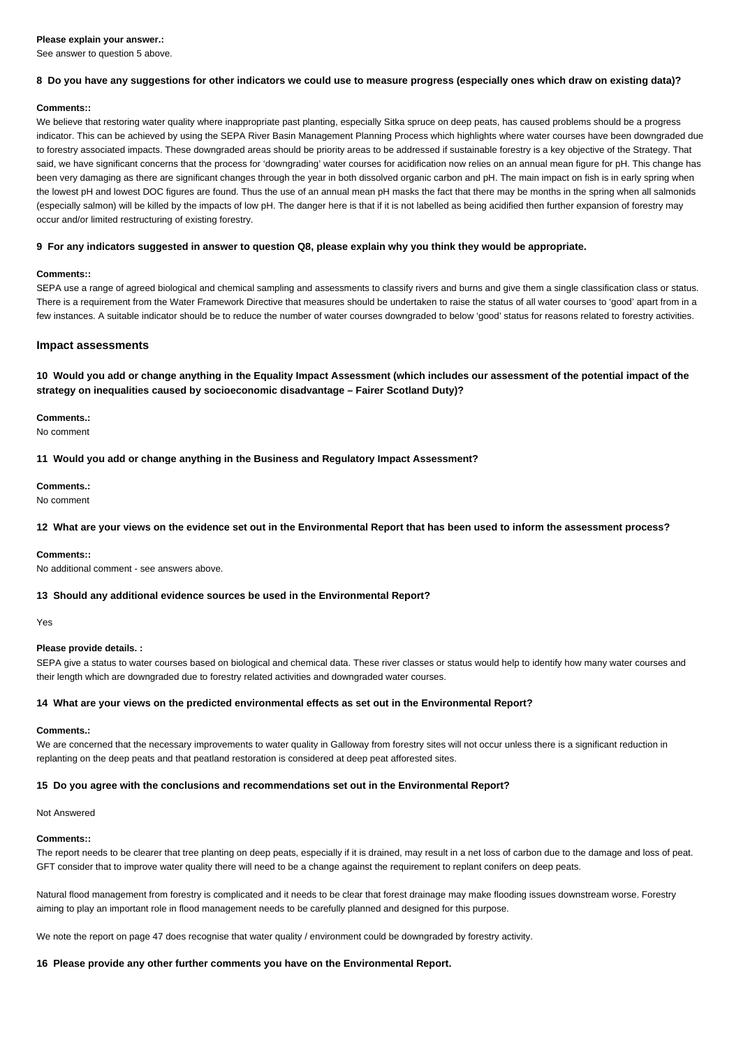#### **Please explain your answer.:**

See answer to question 5 above.

# **8 Do you have any suggestions for other indicators we could use to measure progress (especially ones which draw on existing data)?**

#### **Comments::**

We believe that restoring water quality where inappropriate past planting, especially Sitka spruce on deep peats, has caused problems should be a progress indicator. This can be achieved by using the SEPA River Basin Management Planning Process which highlights where water courses have been downgraded due to forestry associated impacts. These downgraded areas should be priority areas to be addressed if sustainable forestry is a key objective of the Strategy. That said, we have significant concerns that the process for 'downgrading' water courses for acidification now relies on an annual mean figure for pH. This change has been very damaging as there are significant changes through the year in both dissolved organic carbon and pH. The main impact on fish is in early spring when the lowest pH and lowest DOC figures are found. Thus the use of an annual mean pH masks the fact that there may be months in the spring when all salmonids (especially salmon) will be killed by the impacts of low pH. The danger here is that if it is not labelled as being acidified then further expansion of forestry may occur and/or limited restructuring of existing forestry.

## **9 For any indicators suggested in answer to question Q8, please explain why you think they would be appropriate.**

#### **Comments::**

SEPA use a range of agreed biological and chemical sampling and assessments to classify rivers and burns and give them a single classification class or status. There is a requirement from the Water Framework Directive that measures should be undertaken to raise the status of all water courses to 'good' apart from in a few instances. A suitable indicator should be to reduce the number of water courses downgraded to below 'good' status for reasons related to forestry activities.

# **Impact assessments**

**10 Would you add or change anything in the Equality Impact Assessment (which includes our assessment of the potential impact of the strategy on inequalities caused by socioeconomic disadvantage – Fairer Scotland Duty)?**

**Comments.:**

No comment

**11 Would you add or change anything in the Business and Regulatory Impact Assessment?**

# **Comments.:**

No comment

**12 What are your views on the evidence set out in the Environmental Report that has been used to inform the assessment process?**

#### **Comments::**

No additional comment - see answers above.

## **13 Should any additional evidence sources be used in the Environmental Report?**

Yes

#### **Please provide details. :**

SEPA give a status to water courses based on biological and chemical data. These river classes or status would help to identify how many water courses and their length which are downgraded due to forestry related activities and downgraded water courses.

#### **14 What are your views on the predicted environmental effects as set out in the Environmental Report?**

#### **Comments.:**

We are concerned that the necessary improvements to water quality in Galloway from forestry sites will not occur unless there is a significant reduction in replanting on the deep peats and that peatland restoration is considered at deep peat afforested sites.

## **15 Do you agree with the conclusions and recommendations set out in the Environmental Report?**

Not Answered

## **Comments::**

The report needs to be clearer that tree planting on deep peats, especially if it is drained, may result in a net loss of carbon due to the damage and loss of peat. GFT consider that to improve water quality there will need to be a change against the requirement to replant conifers on deep peats.

Natural flood management from forestry is complicated and it needs to be clear that forest drainage may make flooding issues downstream worse. Forestry aiming to play an important role in flood management needs to be carefully planned and designed for this purpose.

We note the report on page 47 does recognise that water quality / environment could be downgraded by forestry activity.

#### **16 Please provide any other further comments you have on the Environmental Report.**